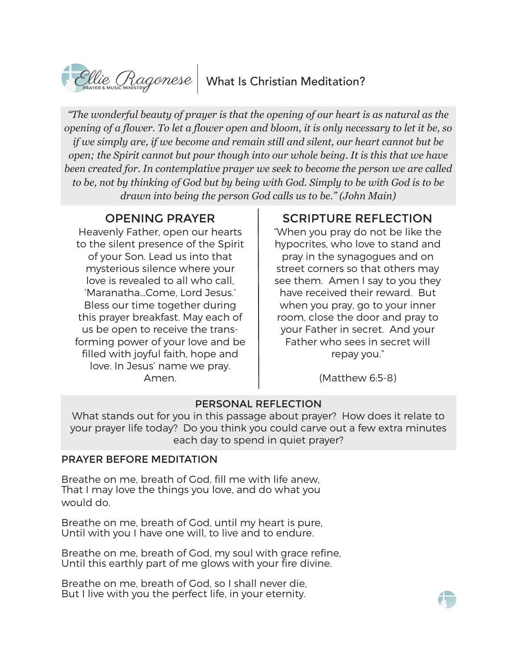# $\text{Clue}_{\text{RAGGUNISTE}}$  What Is Christian Meditation?

*"The wonderful beauty of prayer is that the opening of our heart is as natural as the opening of a flower. To let a flower open and bloom, it is only necessary to let it be, so if we simply are, if we become and remain still and silent, our heart cannot but be open; the Spirit cannot but pour though into our whole being. It is this that we have been created for. In contemplative prayer we seek to become the person we are called to be, not by thinking of God but by being with God. Simply to be with God is to be drawn into being the person God calls us to be." (John Main)*

Heavenly Father, open our hearts to the silent presence of the Spirit of your Son. Lead us into that mysterious silence where your love is revealed to all who call, 'Maranatha…Come, Lord Jesus.' Bless our time together during this prayer breakfast. May each of us be open to receive the transforming power of your love and be filled with joyful faith, hope and love. In Jesus' name we pray. Amen.

## OPENING PRAYER SCRIPTURE REFLECTION

"When you pray do not be like the hypocrites, who love to stand and pray in the synagogues and on street corners so that others may see them. Amen I say to you they have received their reward. But when you pray, go to your inner room, close the door and pray to your Father in secret. And your Father who sees in secret will repay you."

(Matthew 6:5-8)

### PERSONAL REFLECTION

What stands out for you in this passage about prayer? How does it relate to your prayer life today? Do you think you could carve out a few extra minutes each day to spend in quiet prayer?

#### PRAYER BEFORE MEDITATION

Breathe on me, breath of God, fill me with life anew, That I may love the things you love, and do what you would do.

Breathe on me, breath of God, until my heart is pure, Until with you I have one will, to live and to endure.

Breathe on me, breath of God, my soul with grace refine, Until this earthly part of me glows with your fire divine.

Breathe on me, breath of God, so I shall never die, But I live with you the perfect life, in your eternity.